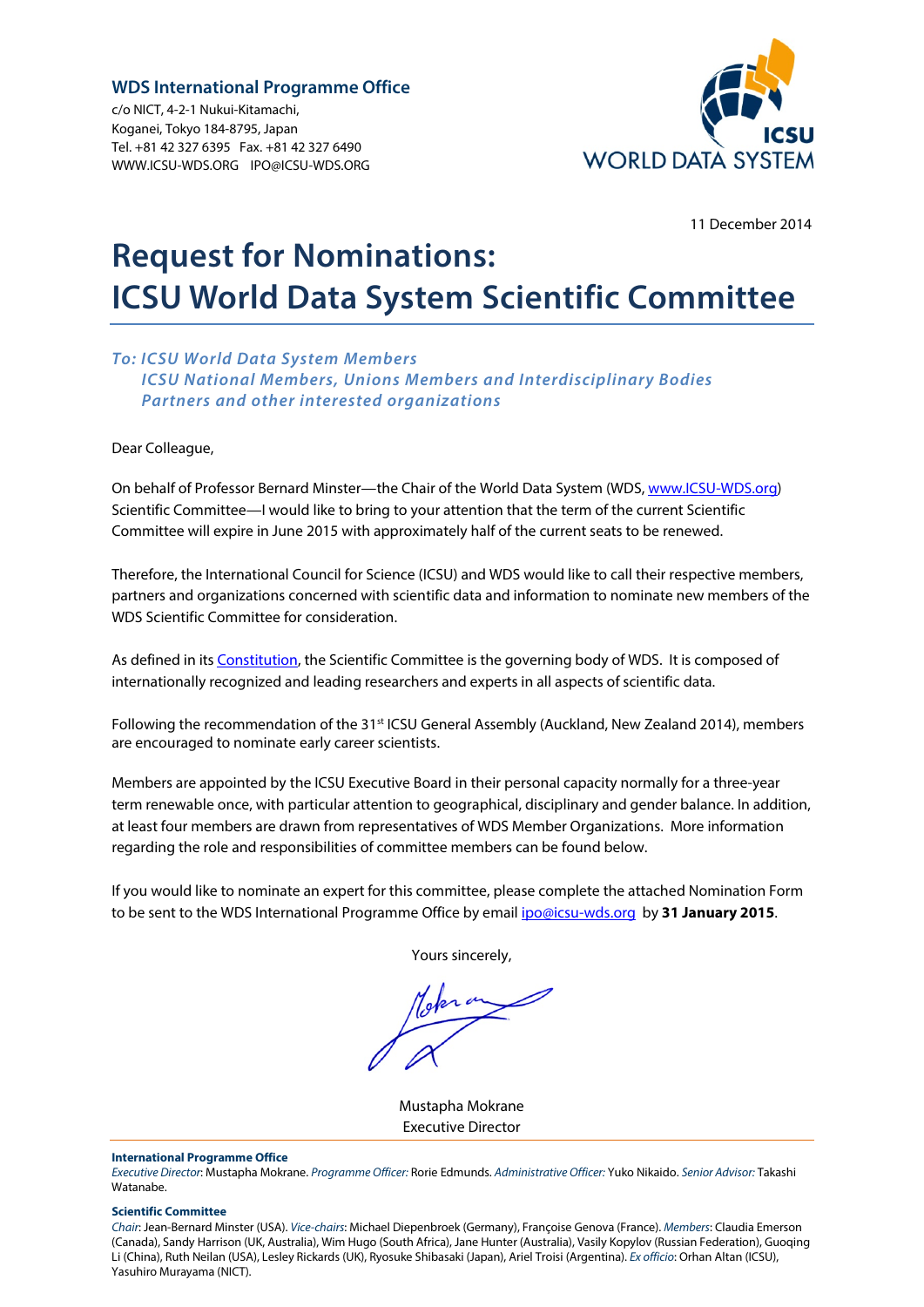### **WDS International Programme Office**

c/o NICT, 4-2-1 Nukui-Kitamachi, Koganei, Tokyo 184-8795, Japan Tel. +81 42 327 6395 Fax. +81 42 327 6490 [WWW.ICSU-WDS.ORG](http://www.icsu-wds.org/) [IPO@ICSU-WDS.ORG](mailto:IPO@icsu-wds.org) 



11 December 2014

# **Request for Nominations: ICSU World Data System Scientific Committee**

### *To: ICSU World Data System Members ICSU National Members, Unions Members and Interdisciplinary Bodies Partners and other interested organizations*

Dear Colleague,

On behalf of Professor Bernard Minster—the Chair of the World Data System (WDS, [www.ICSU-WDS.org\)](http://www.icsu-wds.org/) Scientific Committee—I would like to bring to your attention that the term of the current Scientific Committee will expire in June 2015 with approximately half of the current seats to be renewed.

Therefore, the International Council for Science (ICSU) and WDS would like to call their respective members, partners and organizations concerned with scientific data and information to nominate new members of the WDS Scientific Committee for consideration.

As defined in its **Constitution**, the Scientific Committee is the governing body of WDS. It is composed of internationally recognized and leading researchers and experts in all aspects of scientific data.

Following the recommendation of the 31<sup>st</sup> ICSU General Assembly (Auckland, New Zealand 2014), members are encouraged to nominate early career scientists.

Members are appointed by the ICSU Executive Board in their personal capacity normally for a three-year term renewable once, with particular attention to geographical, disciplinary and gender balance. In addition, at least four members are drawn from representatives of WDS Member Organizations. More information regarding the role and responsibilities of committee members can be found below.

If you would like to nominate an expert for this committee, please complete the attached Nomination Form to be sent to the WDS International Programme Office by email ipo@icsu-wds.org by **31 January 2015**.

Yours sincerely,

Mustapha Mokrane Executive Director

#### **International Programme Office**

*Executive Director*: Mustapha Mokrane. *Programme Officer:* Rorie Edmunds. *Administrative Officer:* Yuko Nikaido. *Senior Advisor:* Takashi Watanabe.

#### **Scientific Committee**

*Chair*: Jean-Bernard Minster (USA). *Vice-chairs*: Michael Diepenbroek (Germany), Françoise Genova (France). *Members*: Claudia Emerson (Canada), Sandy Harrison (UK, Australia), Wim Hugo (South Africa), Jane Hunter (Australia), Vasily Kopylov (Russian Federation), Guoqing Li (China), Ruth Neilan (USA), Lesley Rickards (UK), Ryosuke Shibasaki (Japan), Ariel Troisi (Argentina). *Ex officio*: Orhan Altan (ICSU), Yasuhiro Murayama (NICT).